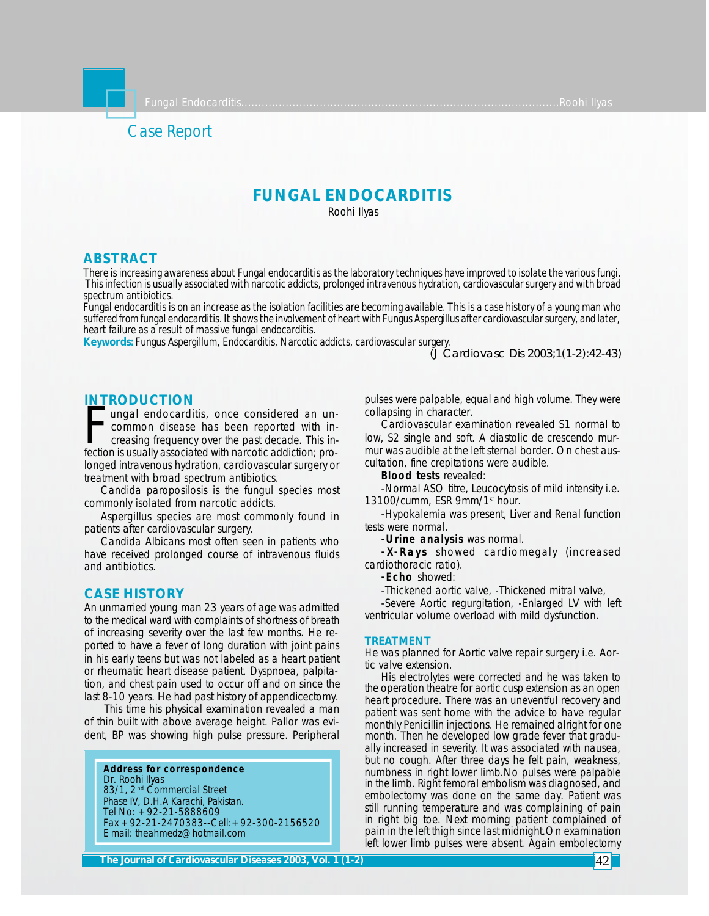# Case Report

# **FUNGAL ENDOCARDITIS**

Roohi Ilyas

### **ABSTRACT**

*There is increasing awareness about Fungal endocarditis as the laboratory techniques have improved to isolate the various fungi. This infection is usually associated with narcotic addicts, prolonged intravenous hydration, cardiovascular surgery and with broad spectrum antibiotics.*

*Fungal endocarditis is on an increase as the isolation facilities are becoming available. This is a case history of a young man who suffered from fungal endocarditis. It shows the involvement of heart with Fungus Aspergillus after cardiovascular surgery, and later, heart failure as a result of massive fungal endocarditis.*

*Keywords: Fungus Aspergillum, Endocarditis, Narcotic addicts, cardiovascular surgery.* 

*(J Cardiovasc Dis 2003;1(1-2):42-43)*

## **INTRODUCTION**

France Boot Horter<br>
ungal endocarditis, once considered an un-<br>
common disease has been reported with in-<br>
rection is usually associated with narcotic addiction; proungal endocarditis, once considered an uncommon disease has been reported with increasing frequency over the past decade. This inlonged intravenous hydration, cardiovascular surgery or treatment with broad spectrum antibiotics.

Candida paroposilosis is the fungul species most commonly isolated from narcotic addicts.

Aspergillus species are most commonly found in patients after cardiovascular surgery.

Candida Albicans most often seen in patients who have received prolonged course of intravenous fluids and antibiotics.

## **CASE HISTORY**

An unmarried young man 23 years of age was admitted to the medical ward with complaints of shortness of breath of increasing severity over the last few months. He reported to have a fever of long duration with joint pains in his early teens but was not labeled as a heart patient or rheumatic heart disease patient. Dyspnoea, palpitation, and chest pain used to occur off and on since the last 8-10 years. He had past history of appendicectomy.

 This time his physical examination revealed a man of thin built with above average height. Pallor was evident, BP was showing high pulse pressure. Peripheral

**Address for correspondence** Dr. Roohi Ilyas 83/1, 2<sup>nd</sup> Commercial Street Phase IV, D.H.A Karachi, Pakistan. Tel No: +92-21-5888609 Fax +92-21-2470383--Cell:+92-300-2156520 E mail: theahmedz@hotmail.com

pulses were palpable, equal and high volume. They were collapsing in character.

Cardiovascular examination revealed S1 normal to low, S2 single and soft. A diastolic de crescendo murmur was audible at the left sternal border. On chest auscultation, fine crepitations were audible.

**Blood tests** revealed:

-Normal ASO titre, Leucocytosis of mild intensity i.e. 13100/cumm, ESR 9mm/1st hour.

-Hypokalemia was present, Liver and Renal function tests were normal.

**-Urine analysis** was normal.

**-X-Rays** showed cardiomegaly (increased cardiothoracic ratio).

**-Echo** showed:

-Thickened aortic valve, -Thickened mitral valve,

-Severe Aortic regurgitation, -Enlarged LV with left ventricular volume overload with mild dysfunction.

#### **TREATMENT**

He was planned for Aortic valve repair surgery i.e. Aortic valve extension.

His electrolytes were corrected and he was taken to the operation theatre for aortic cusp extension as an open heart procedure. There was an uneventful recovery and patient was sent home with the advice to have regular monthly Penicillin injections. He remained alright for one month. Then he developed low grade fever that gradually increased in severity. It was associated with nausea, but no cough. After three days he felt pain, weakness, numbness in right lower limb.No pulses were palpable in the limb. Right femoral embolism was diagnosed, and embolectomy was done on the same day. Patient was still running temperature and was complaining of pain in right big toe. Next morning patient complained of pain in the left thigh since last midnight.On examination left lower limb pulses were absent. Again embolectomy

**The Journal of Cardiovascular Diseases 2003, Vol. 1 (1-2)** 42